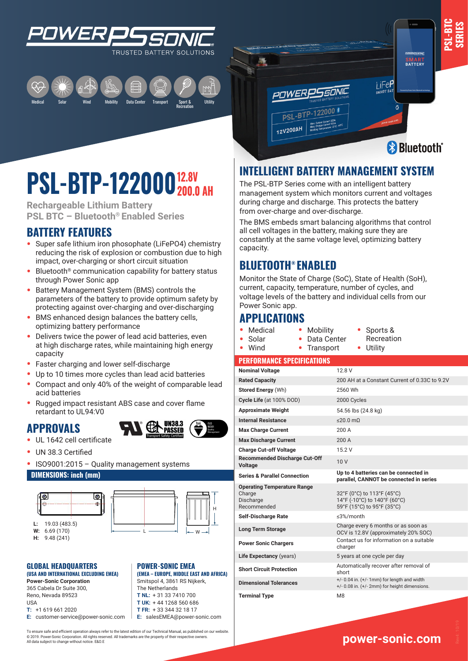





**Rechargeable Lithium Battery PSL BTC – Bluetooth® Enabled Series**

## **BATTERY FEATURES**

- **•** Super safe lithium iron phosophate (LiFePO4) chemistry reducing the risk of explosion or combustion due to high impact, over-charging or short circuit situation
- **•** Bluetooth® communication capability for battery status through Power Sonic app
- **•** Battery Management System (BMS) controls the parameters of the battery to provide optimum safety by protecting against over-charging and over-discharging
- **•** BMS enhanced design balances the battery cells, optimizing battery performance
- **•** Delivers twice the power of lead acid batteries, even at high discharge rates, while maintaining high energy capacity
- **•** Faster charging and lower self-discharge
- **•** Up to 10 times more cycles than lead acid batteries
- **•** Compact and only 40% of the weight of comparable lead acid batteries
- **•** Rugged impact resistant ABS case and cover flame retardant to UL94:V0

## **APPROVALS**



- **•** UL 1642 cell certificate
- **•** UN 38.3 Certified
- **•** ISO9001:2015 Quality management systems

#### **DIMENSIONS: inch (mm)**





**(EMEA – EUROPE, MIDDLE EAST AND AFRICA)** Smitspol 4, 3861 RS Nijkerk, The Netherlands **T NL:** + 31 33 7410 700 **T UK:** + 44 1268 560 686 **T FR:** + 33 344 32 18 17 **E:** salesEMEA@power-sonic.com

**POWER-SONIC EMEA** 

#### L **GLOBAL HEADQUARTERS (USA AND INTERNATIONAL EXCLUDING EMEA)**

**Power-Sonic Corporation** 365 Cabela Dr Suite 300, Reno, Nevada 89523 USA **T:** +1 619 661 2020

**E:** customer-service@power-sonic.com

To ensure safe and efficient operation always refer to the latest edition of our Technical Manual, as published on our website. © 2019. Power-Sonic Corporation. All rights reserved. All trademarks are the property of their respective owners. All data subject to change without notice. E&O.E



I iFeP

**SMART**<br>BATTERY

**PSL-BTC SERIES**

# **INTELLIGENT BATTERY MANAGEMENT SYSTEM**

 $\sqrt{G}$ 

OWERD

**PSL-BTP** 

12V200AH

The PSL-BTP Series come with an intelligent battery management system which monitors current and voltages during charge and discharge. This protects the battery from over-charge and over-discharge.

The BMS embeds smart balancing algorithms that control all cell voltages in the battery, making sure they are constantly at the same voltage level, optimizing battery capacity.

## **BLUETOOTH® ENABLED**

Monitor the State of Charge (SoC), State of Health (SoH), current, capacity, temperature, number of cycles, and voltage levels of the battery and individual cells from our Power Sonic app.

**•** Mobility

**•** Transport

## **APPLICATIONS**

- **•** Medical
- **•** Solar **•** Wind
- **•** Data Center **•** Sports & Recreation **•** Utility

#### **PERFORMANCE SPECIFICATIONS**

| <b>Nominal Voltage</b>                                                   | 12 8 V                                                                                                |
|--------------------------------------------------------------------------|-------------------------------------------------------------------------------------------------------|
| <b>Rated Capacity</b>                                                    | 200 AH at a Constant Current of 0.33C to 9.2V                                                         |
| <b>Stored Energy (Wh)</b>                                                | 2560 Wh                                                                                               |
| Cycle Life (at 100% DOD)                                                 | 2000 Cycles                                                                                           |
| <b>Approximate Weight</b>                                                | 54.56 lbs (24.8 kg)                                                                                   |
| <b>Internal Resistance</b>                                               | $\leq$ 20.0 mQ                                                                                        |
| <b>Max Charge Current</b>                                                | 200 A                                                                                                 |
| <b>Max Discharge Current</b>                                             | 200 A                                                                                                 |
| <b>Charge Cut-off Voltage</b>                                            | 15.2 V                                                                                                |
| Recommended Discharge Cut-Off<br><b>Voltage</b>                          | 10V                                                                                                   |
| <b>Series &amp; Parallel Connection</b>                                  | Up to 4 batteries can be connected in<br>parallel, CANNOT be connected in series                      |
| <b>Operating Temperature Range</b><br>Charge<br>Discharge<br>Recommended | 32°F (0°C) to 113°F (45°C)<br>14°F (-10°C) to 140°F (60°C)<br>59°F (15°C) to 95°F (35°C)              |
| <b>Self-Discharge Rate</b>                                               | ≤3%/month                                                                                             |
| <b>Long Term Storage</b>                                                 | Charge every 6 months or as soon as<br>OCV is 12.8V (approximately 20% SOC)                           |
| <b>Power Sonic Chargers</b>                                              | Contact us for information on a suitable<br>charger                                                   |
| Life Expectancy (years)                                                  | 5 years at one cycle per day                                                                          |
| <b>Short Circuit Protection</b>                                          | Automatically recover after removal of<br>short                                                       |
| <b>Dimensional Tolerances</b>                                            | $+/- 0.04$ in. $(+/- 1$ mm) for length and width<br>$+/- 0.08$ in. $(+/- 2mm)$ for height dimensions. |
| <b>Terminal Type</b>                                                     | M <sub>8</sub>                                                                                        |

**www.power-sonic.com**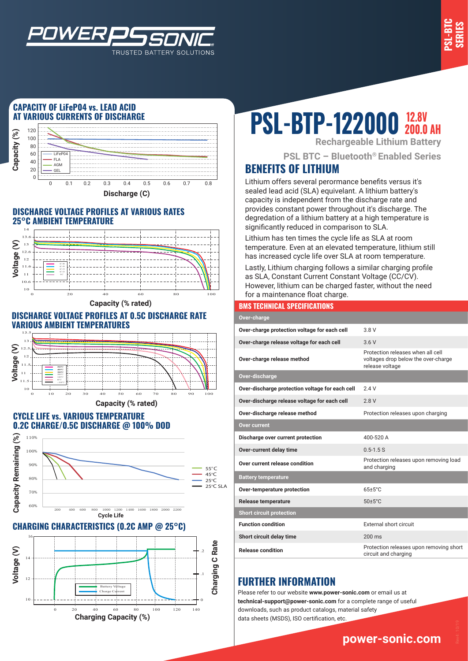

## **CAPACITY OF LiFeP04 vs. LEAD ACID AT VARIOUS CURRENTS OF DISCHARGE**

*WER* 



TRUSTED BATTERY SOLUTIONS

#### **DISCHARGE VOLTAGE PROFILES AT VARIOUS RATES 25°C AMBIENT TEMPERATURE**



**Capacity (% rated)**

#### **DISCHARGE VOLTAGE PROFILES AT 0.5C DISCHARGE RATE VARIOUS AMBIENT TEMPERATURES**



#### **CYCLE LIFE vs. VARIOUS TEMPERATURE 0.2C CHARGE/0.5C DISCHARGE @ 100% DOD**



## **CHARGING CHARACTERISTICS (0.2C AMP @ 25°C)**



# **PSL-BTP-122000** 200.0 AH

**Rechargeable Lithium Battery**

**PSL BTC – Bluetooth® Enabled Series**

## **BENEFITS OF LITHIUM**

Lithium offers several perormance benefits versus it's sealed lead acid (SLA) equivelant. A lithium battery's capacity is independent from the discharge rate and provides constant power throughout it's discharge. The degredation of a lithium battery at a high temperature is significantly reduced in comparison to SLA.

Lithium has ten times the cycle life as SLA at room temperature. Even at an elevated temperature, lithium still has increased cycle life over SLA at room temperature.

Lastly, Lithium charging follows a similar charging profile as SLA, Constant Current Constant Voltage (CC/CV). However, lithium can be charged faster, without the need for a maintenance float charge.

#### **BMS TECHNICAL SPECIFICATIONS**

| Over-charge                                     |                                                                                             |  |
|-------------------------------------------------|---------------------------------------------------------------------------------------------|--|
| Over-charge protection voltage for each cell    | 3 8 V                                                                                       |  |
| Over-charge release voltage for each cell       | 3.6V                                                                                        |  |
| Over-charge release method                      | Protection releases when all cell<br>voltages drop below the over-charge<br>release voltage |  |
| Over-discharge                                  |                                                                                             |  |
| Over-discharge protection voltage for each cell | 24V                                                                                         |  |
| Over-discharge release voltage for each cell    | 28V                                                                                         |  |
| Over-discharge release method                   | Protection releases upon charging                                                           |  |
| <b>Over current</b>                             |                                                                                             |  |
| Discharge over current protection               | 400-520 A                                                                                   |  |
| Over-current delay time                         | $0.5 - 1.5S$                                                                                |  |
| Over current release condition                  | Protection releases upon removing load<br>and charging                                      |  |
| <b>Battery temperature</b>                      |                                                                                             |  |
| Over-temperature protection                     | $65+5^{\circ}$ C                                                                            |  |
| <b>Release temperature</b>                      | $50 \pm 5^{\circ}$ C                                                                        |  |
| <b>Short circuit protection</b>                 |                                                                                             |  |
| <b>Function condition</b>                       | External short circuit                                                                      |  |
| Short circuit delay time                        | $200 \text{ ms}$                                                                            |  |
| <b>Release condition</b>                        | Protection releases upon removing short<br>circuit and charging                             |  |

## **FURTHER INFORMATION**

Please refer to our website **www.power-sonic.com** or email us at **technical-support@power-sonic.com** for a complete range of useful downloads, such as product catalogs, material safety data sheets (MSDS), ISO certification, etc.